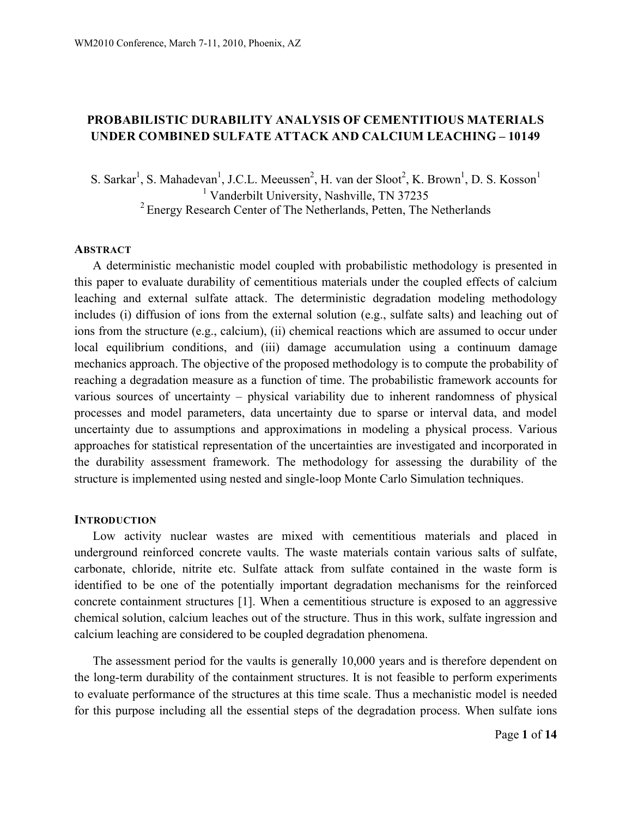# **PROBABILISTIC DURABILITY ANALYSIS OF CEMENTITIOUS MATERIALS UNDER COMBINED SULFATE ATTACK AND CALCIUM LEACHING – 10149**

S. Sarkar<sup>1</sup>, S. Mahadevan<sup>1</sup>, J.C.L. Meeussen<sup>2</sup>, H. van der Sloot<sup>2</sup>, K. Brown<sup>1</sup>, D. S. Kosson<sup>1</sup> <sup>1</sup> Vanderbilt University, Nashville, TN 37235

2 Energy Research Center of The Netherlands, Petten, The Netherlands

## **ABSTRACT**

A deterministic mechanistic model coupled with probabilistic methodology is presented in this paper to evaluate durability of cementitious materials under the coupled effects of calcium leaching and external sulfate attack. The deterministic degradation modeling methodology includes (i) diffusion of ions from the external solution (e.g., sulfate salts) and leaching out of ions from the structure (e.g., calcium), (ii) chemical reactions which are assumed to occur under local equilibrium conditions, and (iii) damage accumulation using a continuum damage mechanics approach. The objective of the proposed methodology is to compute the probability of reaching a degradation measure as a function of time. The probabilistic framework accounts for various sources of uncertainty – physical variability due to inherent randomness of physical processes and model parameters, data uncertainty due to sparse or interval data, and model uncertainty due to assumptions and approximations in modeling a physical process. Various approaches for statistical representation of the uncertainties are investigated and incorporated in the durability assessment framework. The methodology for assessing the durability of the structure is implemented using nested and single-loop Monte Carlo Simulation techniques.

## **INTRODUCTION**

Low activity nuclear wastes are mixed with cementitious materials and placed in underground reinforced concrete vaults. The waste materials contain various salts of sulfate, carbonate, chloride, nitrite etc. Sulfate attack from sulfate contained in the waste form is identified to be one of the potentially important degradation mechanisms for the reinforced concrete containment structures [1]. When a cementitious structure is exposed to an aggressive chemical solution, calcium leaches out of the structure. Thus in this work, sulfate ingression and calcium leaching are considered to be coupled degradation phenomena.

The assessment period for the vaults is generally 10,000 years and is therefore dependent on the long-term durability of the containment structures. It is not feasible to perform experiments to evaluate performance of the structures at this time scale. Thus a mechanistic model is needed for this purpose including all the essential steps of the degradation process. When sulfate ions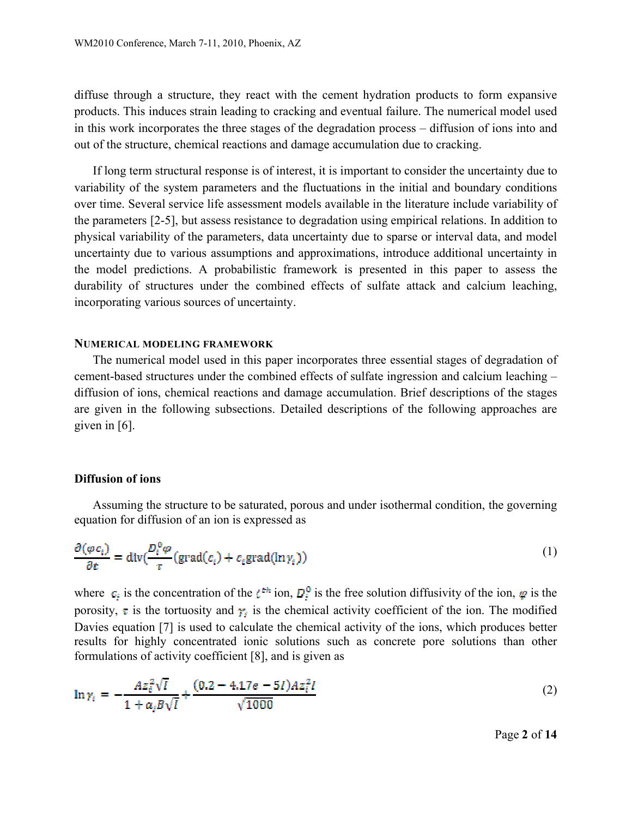diffuse through a structure, they react with the cement hydration products to form expansive products. This induces strain leading to cracking and eventual failure. The numerical model used in this work incorporates the three stages of the degradation process – diffusion of ions into and out of the structure, chemical reactions and damage accumulation due to cracking.

If long term structural response is of interest, it is important to consider the uncertainty due to variability of the system parameters and the fluctuations in the initial and boundary conditions over time. Several service life assessment models available in the literature include variability of the parameters [2-5], but assess resistance to degradation using empirical relations. In addition to physical variability of the parameters, data uncertainty due to sparse or interval data, and model uncertainty due to various assumptions and approximations, introduce additional uncertainty in the model predictions. A probabilistic framework is presented in this paper to assess the durability of structures under the combined effects of sulfate attack and calcium leaching, incorporating various sources of uncertainty.

#### **NUMERICAL MODELING FRAMEWORK**

The numerical model used in this paper incorporates three essential stages of degradation of cement-based structures under the combined effects of sulfate ingression and calcium leaching – diffusion of ions, chemical reactions and damage accumulation. Brief descriptions of the stages are given in the following subsections. Detailed descriptions of the following approaches are given in [6].

## **Diffusion of ions**

Assuming the structure to be saturated, porous and under isothermal condition, the governing equation for diffusion of an ion is expressed as

$$
\frac{\partial(\varphi c_i)}{\partial t} = \text{div}(\frac{D_i^0 \varphi}{\tau}(\text{grad}(c_i) + c_i \text{grad}(\ln \gamma_i))
$$
\n(1)

where  $\sigma_i$  is the concentration of the  $i^{\sigma h}$  ion,  $D_i^0$  is the free solution diffusivity of the ion,  $\varphi$  is the porosity,  $\tau$  is the tortuosity and  $\tau_i$  is the chemical activity coefficient of the ion. The modified Davies equation [7] is used to calculate the chemical activity of the ions, which produces better results for highly concentrated ionic solutions such as concrete pore solutions than other formulations of activity coefficient [8], and is given as

$$
\ln \gamma_t = -\frac{Az_t^2 \sqrt{I}}{1 + a_t B \sqrt{I}} + \frac{(0.2 - 4.17e - 5I)Az_t^2 I}{\sqrt{1000}} \tag{2}
$$

Page **2** of **14**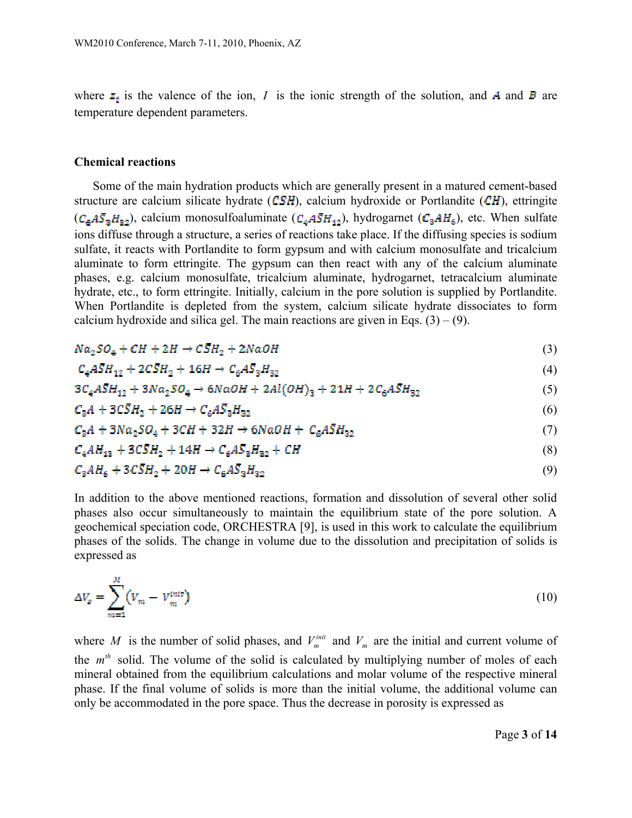where  $z_{\tilde{z}}$  is the valence of the ion, *I* is the ionic strength of the solution, and *A* and *B* are temperature dependent parameters.

### **Chemical reactions**

Some of the main hydration products which are generally present in a matured cement-based structure are calcium silicate hydrate ( $\overline{CSH}$ ), calcium hydroxide or Portlandite ( $\overline{CH}$ ), ettringite  $(C_6A\overline{S}_3H_{32})$ , calcium monosulfoaluminate  $(C_4A\overline{S}H_{12})$ , hydrogarnet  $(C_3AH_6)$ , etc. When sulfate ions diffuse through a structure, a series of reactions take place. If the diffusing species is sodium sulfate, it reacts with Portlandite to form gypsum and with calcium monosulfate and tricalcium aluminate to form ettringite. The gypsum can then react with any of the calcium aluminate phases, e.g. calcium monosulfate, tricalcium aluminate, hydrogarnet, tetracalcium aluminate hydrate, etc., to form ettringite. Initially, calcium in the pore solution is supplied by Portlandite. When Portlandite is depleted from the system, calcium silicate hydrate dissociates to form calcium hydroxide and silica gel. The main reactions are given in Eqs.  $(3) - (9)$ .

$$
Na_2SO_4 + CH + 2H \rightarrow C\overline{S}H_2 + 2NaOH \tag{3}
$$

$$
C_4 A \bar{S} H_{12} + 2C \bar{S} H_2 + 16H \to C_6 A \bar{S}_3 H_{32} \tag{4}
$$

$$
3C_4 A\bar{S}H_{12} + 3Na_2 SO_4 \to 6NaOH + 2Al(OH)_3 + 21H + 2C_6 A\bar{S}H_{32}
$$
\n<sup>(5)</sup>

$$
C_3A + 3C\bar{S}H_2 + 26H \rightarrow C_6A\bar{S}_3H_{32} \tag{6}
$$

$$
C_3A + 3Na_2SO_4 + 3CH + 32H \rightarrow 6NaOH + C_6A\overline{S}H_{32}
$$
\n
$$
\tag{7}
$$

$$
C_4AH_{13} + 3C\bar{S}H_2 + 14H \to C_6A\bar{S}_3H_{32} + CH
$$
\n(8)

$$
C_3AH_6 + 3C\overline{S}H_2 + 20H \rightarrow C_6A\overline{S}_3H_{32} \tag{9}
$$

In addition to the above mentioned reactions, formation and dissolution of several other solid phases also occur simultaneously to maintain the equilibrium state of the pore solution. A geochemical speciation code, ORCHESTRA [9], is used in this work to calculate the equilibrium phases of the solids. The change in volume due to the dissolution and precipitation of solids is expressed as

$$
\Delta V_s = \sum_{m=1}^{M} \left( V_m - V_m^{init} \right) \tag{10}
$$

where *M* is the number of solid phases, and  $V_m$  and  $V_m$  are the initial and current volume of the  $m<sup>th</sup>$  solid. The volume of the solid is calculated by multiplying number of moles of each mineral obtained from the equilibrium calculations and molar volume of the respective mineral phase. If the final volume of solids is more than the initial volume, the additional volume can only be accommodated in the pore space. Thus the decrease in porosity is expressed as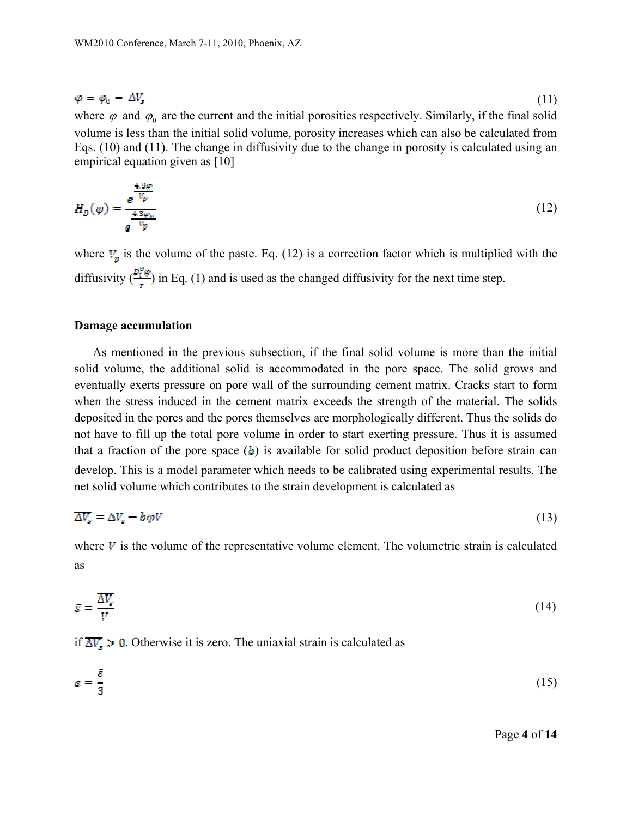#### $\varphi = \varphi_0 - \Delta V_s$ (11)

where  $\varphi$  and  $\varphi_0$  are the current and the initial porosities respectively. Similarly, if the final solid volume is less than the initial solid volume, porosity increases which can also be calculated from Eqs. (10) and (11). The change in diffusivity due to the change in porosity is calculated using an empirical equation given as [10]

$$
H_D(\varphi) = \frac{e^{\frac{4.3\varphi}{V_p}}}{e^{\frac{4.3\varphi_0}{V_p}}} \tag{12}
$$

where  $V_{\mathfrak{g}}$  is the volume of the paste. Eq. (12) is a correction factor which is multiplied with the diffusivity  $\left(\frac{D_i^{\circ}\varphi}{r}\right)$  in Eq. (1) and is used as the changed diffusivity for the next time step.

# **Damage accumulation**

As mentioned in the previous subsection, if the final solid volume is more than the initial solid volume, the additional solid is accommodated in the pore space. The solid grows and eventually exerts pressure on pore wall of the surrounding cement matrix. Cracks start to form when the stress induced in the cement matrix exceeds the strength of the material. The solids deposited in the pores and the pores themselves are morphologically different. Thus the solids do not have to fill up the total pore volume in order to start exerting pressure. Thus it is assumed that a fraction of the pore space  $(b)$  is available for solid product deposition before strain can develop. This is a model parameter which needs to be calibrated using experimental results. The net solid volume which contributes to the strain development is calculated as

$$
\overline{\Delta V_s} = \Delta V_s - b\varphi V \tag{13}
$$

where  $V$  is the volume of the representative volume element. The volumetric strain is calculated as

$$
\bar{\varepsilon} = \frac{\Delta V_{\varepsilon}}{V} \tag{14}
$$

if  $\overline{\Delta V_s} > 0$ . Otherwise it is zero. The uniaxial strain is calculated as

$$
\varepsilon = \frac{\bar{\varepsilon}}{3} \tag{15}
$$

Page **4** of **14**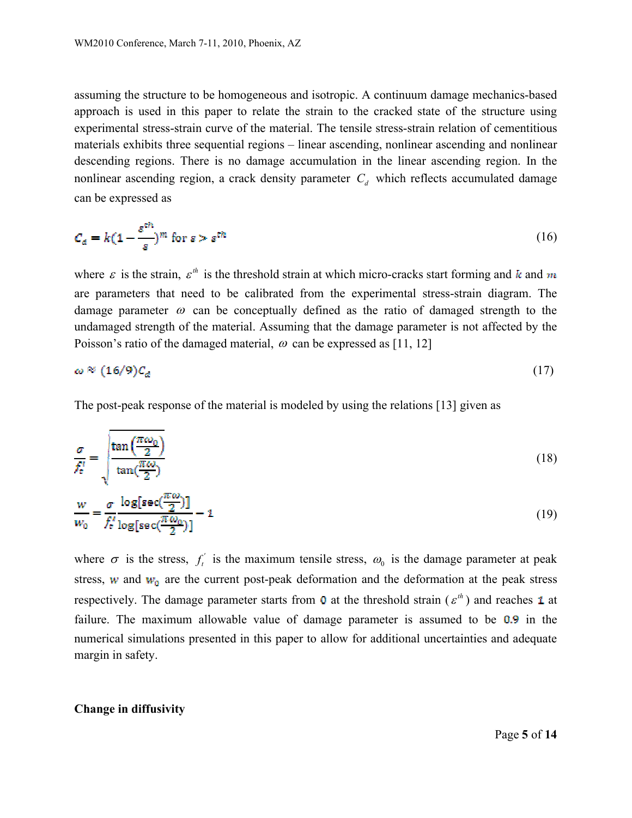assuming the structure to be homogeneous and isotropic. A continuum damage mechanics-based approach is used in this paper to relate the strain to the cracked state of the structure using experimental stress-strain curve of the material. The tensile stress-strain relation of cementitious materials exhibits three sequential regions – linear ascending, nonlinear ascending and nonlinear descending regions. There is no damage accumulation in the linear ascending region. In the nonlinear ascending region, a crack density parameter  $C<sub>d</sub>$  which reflects accumulated damage can be expressed as

$$
\mathcal{C}_d = k(1 - \frac{\varepsilon^{\varepsilon h}}{\varepsilon})^m \text{ for } \varepsilon > \varepsilon^{\varepsilon h} \tag{16}
$$

where  $\varepsilon$  is the strain,  $\varepsilon^{th}$  is the threshold strain at which micro-cracks start forming and k and m are parameters that need to be calibrated from the experimental stress-strain diagram. The damage parameter  $\omega$  can be conceptually defined as the ratio of damaged strength to the undamaged strength of the material. Assuming that the damage parameter is not affected by the Poisson's ratio of the damaged material,  $\omega$  can be expressed as [11, 12]

$$
\omega \approx (16/9)C_d \tag{17}
$$

The post-peak response of the material is modeled by using the relations [13] given as

$$
\frac{\sigma}{f'_t} = \sqrt{\frac{\tan\left(\frac{\pi \omega_0}{2}\right)}{\tan\left(\frac{\pi \omega}{2}\right)}}
$$
(18)

$$
\frac{w}{w_0} = \frac{\sigma}{f_t^{\prime}} \frac{\log[\sec(\frac{\pi \omega}{2})]}{\log[\sec(\frac{\pi \omega_0}{2})]} - 1 \tag{19}
$$

where  $\sigma$  is the stress,  $f_t$  is the maximum tensile stress,  $\omega_0$  is the damage parameter at peak stress, w and  $w_0$  are the current post-peak deformation and the deformation at the peak stress respectively. The damage parameter starts from 0 at the threshold strain ( $\varepsilon^{th}$ ) and reaches 1 at failure. The maximum allowable value of damage parameter is assumed to be  $0.9$  in the numerical simulations presented in this paper to allow for additional uncertainties and adequate margin in safety.

#### **Change in diffusivity**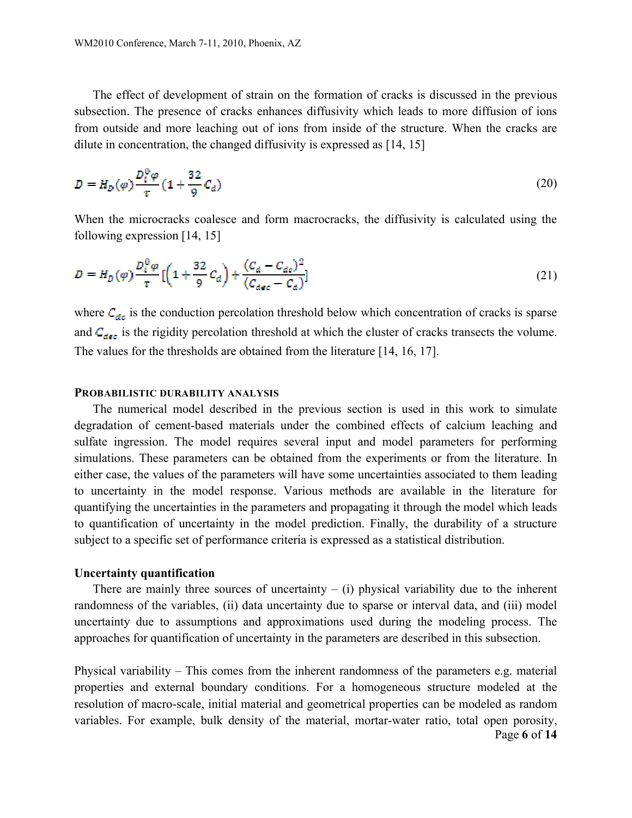The effect of development of strain on the formation of cracks is discussed in the previous subsection. The presence of cracks enhances diffusivity which leads to more diffusion of ions from outside and more leaching out of ions from inside of the structure. When the cracks are dilute in concentration, the changed diffusivity is expressed as [14, 15]

$$
D = H_D(\varphi) \frac{D_i^0 \varphi}{\tau} \left( 1 + \frac{32}{9} C_d \right) \tag{20}
$$

When the microcracks coalesce and form macrocracks, the diffusivity is calculated using the following expression [14, 15]

$$
D = H_D(\varphi) \frac{D_i^0 \varphi}{\tau} \left[ \left( 1 + \frac{32}{9} C_d \right) + \frac{(C_d - C_{dc})^2}{(C_{deo} - C_d)} \right]
$$
(21)

where  $C_{\vec{\alpha}$  is the conduction percolation threshold below which concentration of cracks is sparse and  $C_{\text{dec}}$  is the rigidity percolation threshold at which the cluster of cracks transects the volume. The values for the thresholds are obtained from the literature [14, 16, 17].

# **PROBABILISTIC DURABILITY ANALYSIS**

The numerical model described in the previous section is used in this work to simulate degradation of cement-based materials under the combined effects of calcium leaching and sulfate ingression. The model requires several input and model parameters for performing simulations. These parameters can be obtained from the experiments or from the literature. In either case, the values of the parameters will have some uncertainties associated to them leading to uncertainty in the model response. Various methods are available in the literature for quantifying the uncertainties in the parameters and propagating it through the model which leads to quantification of uncertainty in the model prediction. Finally, the durability of a structure subject to a specific set of performance criteria is expressed as a statistical distribution.

### **Uncertainty quantification**

There are mainly three sources of uncertainty  $-$  (i) physical variability due to the inherent randomness of the variables, (ii) data uncertainty due to sparse or interval data, and (iii) model uncertainty due to assumptions and approximations used during the modeling process. The approaches for quantification of uncertainty in the parameters are described in this subsection.

Page **6** of **14** Physical variability – This comes from the inherent randomness of the parameters e.g. material properties and external boundary conditions. For a homogeneous structure modeled at the resolution of macro-scale, initial material and geometrical properties can be modeled as random variables. For example, bulk density of the material, mortar-water ratio, total open porosity,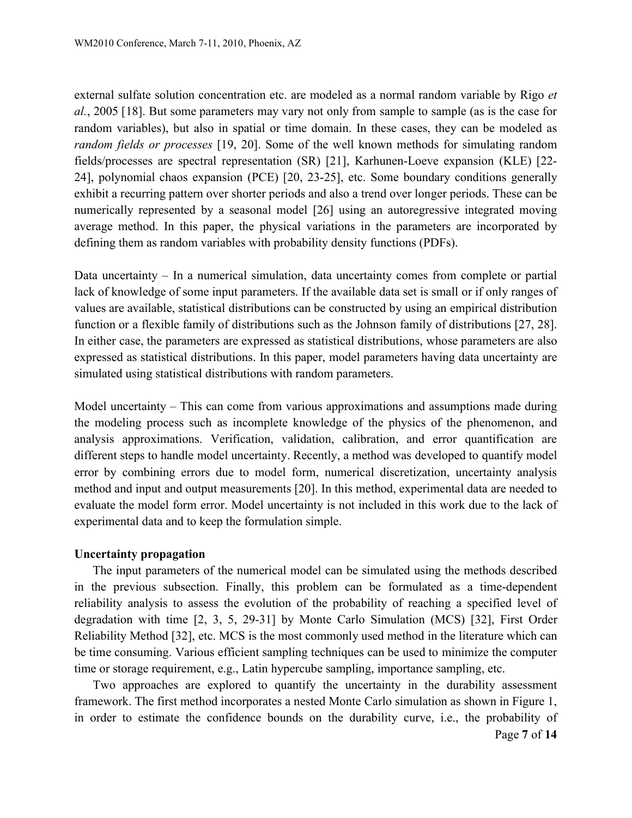external sulfate solution concentration etc. are modeled as a normal random variable by Rigo *et al.*, 2005 [18]. But some parameters may vary not only from sample to sample (as is the case for random variables), but also in spatial or time domain. In these cases, they can be modeled as *random fields or processes* [19, 20]. Some of the well known methods for simulating random fields/processes are spectral representation (SR) [21], Karhunen-Loeve expansion (KLE) [22- 24], polynomial chaos expansion (PCE) [20, 23-25], etc. Some boundary conditions generally exhibit a recurring pattern over shorter periods and also a trend over longer periods. These can be numerically represented by a seasonal model [26] using an autoregressive integrated moving average method. In this paper, the physical variations in the parameters are incorporated by defining them as random variables with probability density functions (PDFs).

Data uncertainty – In a numerical simulation, data uncertainty comes from complete or partial lack of knowledge of some input parameters. If the available data set is small or if only ranges of values are available, statistical distributions can be constructed by using an empirical distribution function or a flexible family of distributions such as the Johnson family of distributions [27, 28]. In either case, the parameters are expressed as statistical distributions, whose parameters are also expressed as statistical distributions. In this paper, model parameters having data uncertainty are simulated using statistical distributions with random parameters.

Model uncertainty – This can come from various approximations and assumptions made during the modeling process such as incomplete knowledge of the physics of the phenomenon, and analysis approximations. Verification, validation, calibration, and error quantification are different steps to handle model uncertainty. Recently, a method was developed to quantify model error by combining errors due to model form, numerical discretization, uncertainty analysis method and input and output measurements [20]. In this method, experimental data are needed to evaluate the model form error. Model uncertainty is not included in this work due to the lack of experimental data and to keep the formulation simple.

# **Uncertainty propagation**

The input parameters of the numerical model can be simulated using the methods described in the previous subsection. Finally, this problem can be formulated as a time-dependent reliability analysis to assess the evolution of the probability of reaching a specified level of degradation with time [2, 3, 5, 29-31] by Monte Carlo Simulation (MCS) [32], First Order Reliability Method [32], etc. MCS is the most commonly used method in the literature which can be time consuming. Various efficient sampling techniques can be used to minimize the computer time or storage requirement, e.g., Latin hypercube sampling, importance sampling, etc.

Two approaches are explored to quantify the uncertainty in the durability assessment framework. The first method incorporates a nested Monte Carlo simulation as shown in Figure 1, in order to estimate the confidence bounds on the durability curve, i.e., the probability of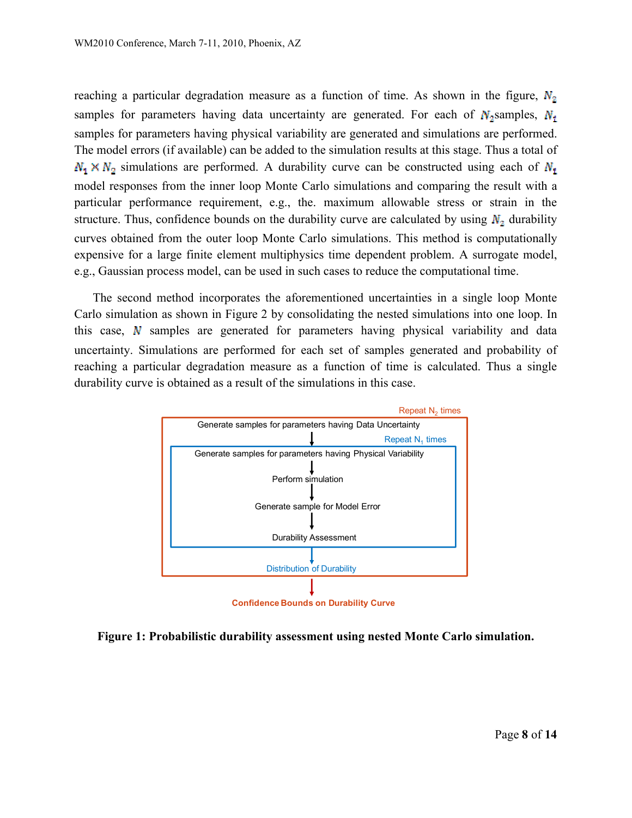reaching a particular degradation measure as a function of time. As shown in the figure,  $N_2$ samples for parameters having data uncertainty are generated. For each of  $N_2$ samples,  $N_1$ samples for parameters having physical variability are generated and simulations are performed. The model errors (if available) can be added to the simulation results at this stage. Thus a total of  $N_1 \times N_2$  simulations are performed. A durability curve can be constructed using each of  $N_1$ model responses from the inner loop Monte Carlo simulations and comparing the result with a particular performance requirement, e.g., the. maximum allowable stress or strain in the structure. Thus, confidence bounds on the durability curve are calculated by using  $N_2$  durability curves obtained from the outer loop Monte Carlo simulations. This method is computationally expensive for a large finite element multiphysics time dependent problem. A surrogate model, e.g., Gaussian process model, can be used in such cases to reduce the computational time.

The second method incorporates the aforementioned uncertainties in a single loop Monte Carlo simulation as shown in Figure 2 by consolidating the nested simulations into one loop. In this case,  $N$  samples are generated for parameters having physical variability and data uncertainty. Simulations are performed for each set of samples generated and probability of reaching a particular degradation measure as a function of time is calculated. Thus a single durability curve is obtained as a result of the simulations in this case.



**Figure 1: Probabilistic durability assessment using nested Monte Carlo simulation.**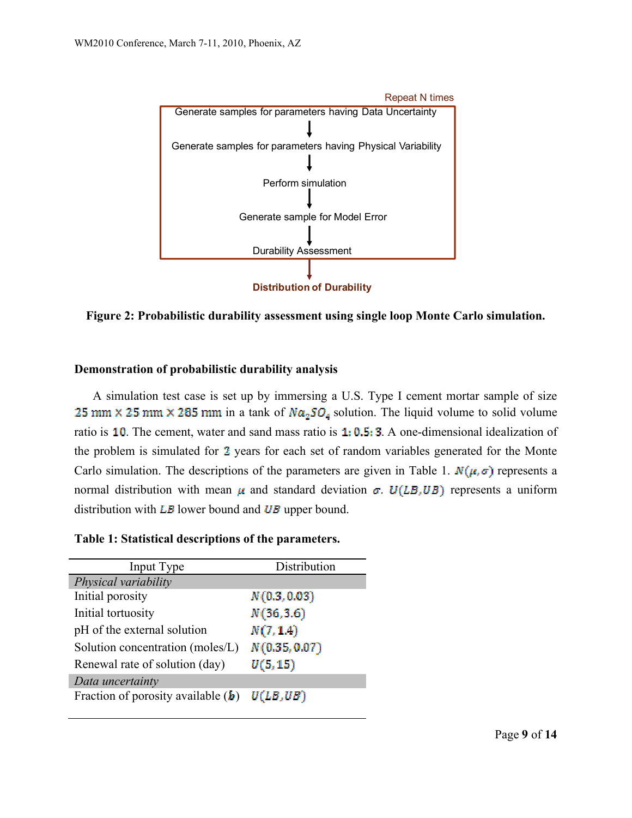

**Figure 2: Probabilistic durability assessment using single loop Monte Carlo simulation.**

# **Demonstration of probabilistic durability analysis**

A simulation test case is set up by immersing a U.S. Type I cement mortar sample of size 25 mm  $\times$  25 mm  $\times$  285 mm in a tank of  $N\alpha_2SO_4$  solution. The liquid volume to solid volume ratio is  $10$ . The cement, water and sand mass ratio is  $1: 0.5: 3$ . A one-dimensional idealization of the problem is simulated for  $2$  years for each set of random variables generated for the Monte Carlo simulation. The descriptions of the parameters are given in Table 1.  $N(\mu, \sigma)$  represents a normal distribution with mean  $\mu$  and standard deviation  $\sigma$ .  $U(LB, UB)$  represents a uniform distribution with  $LB$  lower bound and  $UB$  upper bound.

| Table 1: Statistical descriptions of the parameters. |  |  |  |
|------------------------------------------------------|--|--|--|
|------------------------------------------------------|--|--|--|

| Input Type                           | Distribution  |  |
|--------------------------------------|---------------|--|
| Physical variability                 |               |  |
| Initial porosity                     | N(0.3, 0.03)  |  |
| Initial tortuosity                   | N(36, 3.6)    |  |
| pH of the external solution          | N(7, 1.4)     |  |
| Solution concentration (moles/L)     | N(0.35, 0.07) |  |
| Renewal rate of solution (day)       | U(5, 15)      |  |
| Data uncertainty                     |               |  |
| Fraction of porosity available $(b)$ | U(LB, UB)     |  |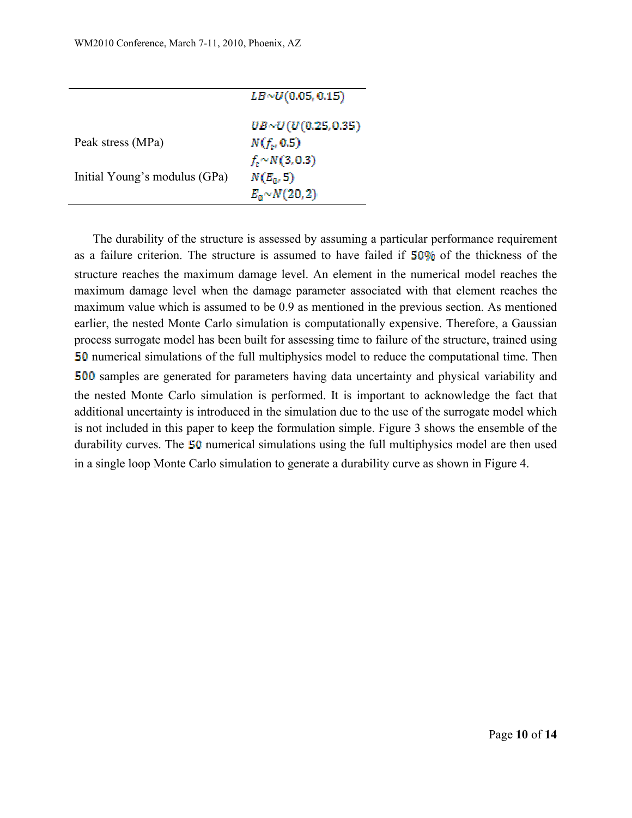|                               | $LB \sim U(0.05, 0.15)$    |
|-------------------------------|----------------------------|
|                               | $UB \sim U(U(0.25, 0.35))$ |
| Peak stress (MPa)             | $N(f_t, 0.5)$              |
|                               | $f_c \sim N(3, 0.3)$       |
| Initial Young's modulus (GPa) | $N(E_{\omega}, 5)$         |
|                               | $E_{\alpha} \sim N(20,2)$  |

The durability of the structure is assessed by assuming a particular performance requirement as a failure criterion. The structure is assumed to have failed if  $50\%$  of the thickness of the structure reaches the maximum damage level. An element in the numerical model reaches the maximum damage level when the damage parameter associated with that element reaches the maximum value which is assumed to be 0.9 as mentioned in the previous section. As mentioned earlier, the nested Monte Carlo simulation is computationally expensive. Therefore, a Gaussian process surrogate model has been built for assessing time to failure of the structure, trained using **50** numerical simulations of the full multiphysics model to reduce the computational time. Then **500** samples are generated for parameters having data uncertainty and physical variability and the nested Monte Carlo simulation is performed. It is important to acknowledge the fact that additional uncertainty is introduced in the simulation due to the use of the surrogate model which is not included in this paper to keep the formulation simple. Figure 3 shows the ensemble of the durability curves. The 50 numerical simulations using the full multiphysics model are then used in a single loop Monte Carlo simulation to generate a durability curve as shown in Figure 4.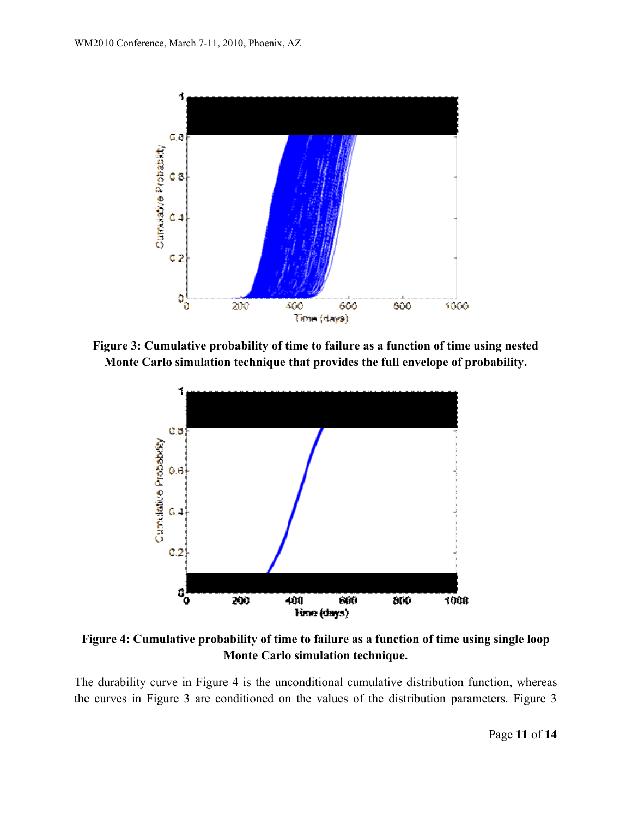

**Figure 3: Cumulative probability of time to failure as a function of time using nested Monte Carlo simulation technique that provides the full envelope of probability.**



**Figure 4: Cumulative probability of time to failure as a function of time using single loop Monte Carlo simulation technique.**

The durability curve in Figure 4 is the unconditional cumulative distribution function, whereas the curves in Figure 3 are conditioned on the values of the distribution parameters. Figure 3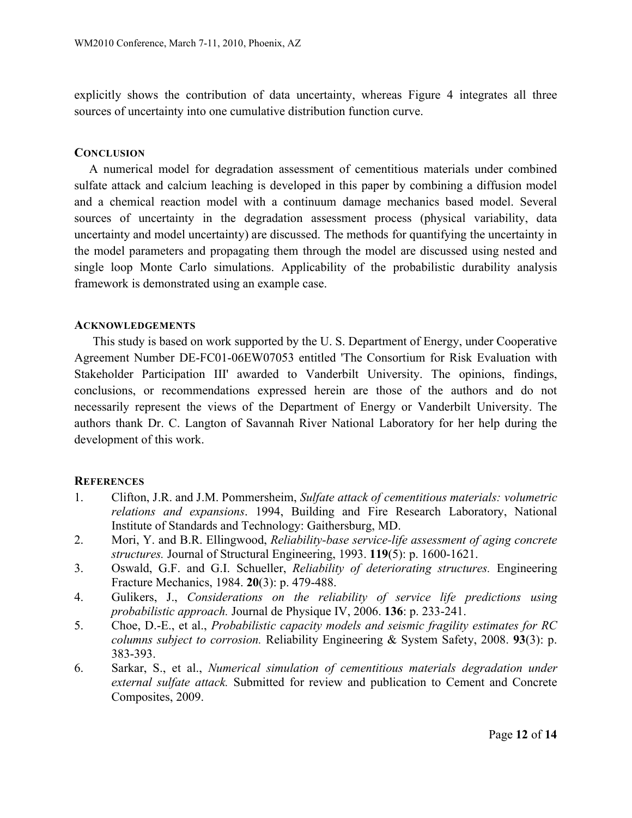explicitly shows the contribution of data uncertainty, whereas Figure 4 integrates all three sources of uncertainty into one cumulative distribution function curve.

# **CONCLUSION**

A numerical model for degradation assessment of cementitious materials under combined sulfate attack and calcium leaching is developed in this paper by combining a diffusion model and a chemical reaction model with a continuum damage mechanics based model. Several sources of uncertainty in the degradation assessment process (physical variability, data uncertainty and model uncertainty) are discussed. The methods for quantifying the uncertainty in the model parameters and propagating them through the model are discussed using nested and single loop Monte Carlo simulations. Applicability of the probabilistic durability analysis framework is demonstrated using an example case.

# **ACKNOWLEDGEMENTS**

This study is based on work supported by the U. S. Department of Energy, under Cooperative Agreement Number DE-FC01-06EW07053 entitled 'The Consortium for Risk Evaluation with Stakeholder Participation III' awarded to Vanderbilt University. The opinions, findings, conclusions, or recommendations expressed herein are those of the authors and do not necessarily represent the views of the Department of Energy or Vanderbilt University. The authors thank Dr. C. Langton of Savannah River National Laboratory for her help during the development of this work.

# **REFERENCES**

- 1. Clifton, J.R. and J.M. Pommersheim, *Sulfate attack of cementitious materials: volumetric relations and expansions*. 1994, Building and Fire Research Laboratory, National Institute of Standards and Technology: Gaithersburg, MD.
- 2. Mori, Y. and B.R. Ellingwood, *Reliability-base service-life assessment of aging concrete structures.* Journal of Structural Engineering, 1993. **119**(5): p. 1600-1621.
- 3. Oswald, G.F. and G.I. Schueller, *Reliability of deteriorating structures.* Engineering Fracture Mechanics, 1984. **20**(3): p. 479-488.
- 4. Gulikers, J., *Considerations on the reliability of service life predictions using probabilistic approach.* Journal de Physique IV, 2006. **136**: p. 233-241.
- 5. Choe, D.-E., et al., *Probabilistic capacity models and seismic fragility estimates for RC columns subject to corrosion.* Reliability Engineering & System Safety, 2008. **93**(3): p. 383-393.
- 6. Sarkar, S., et al., *Numerical simulation of cementitious materials degradation under external sulfate attack.* Submitted for review and publication to Cement and Concrete Composites, 2009.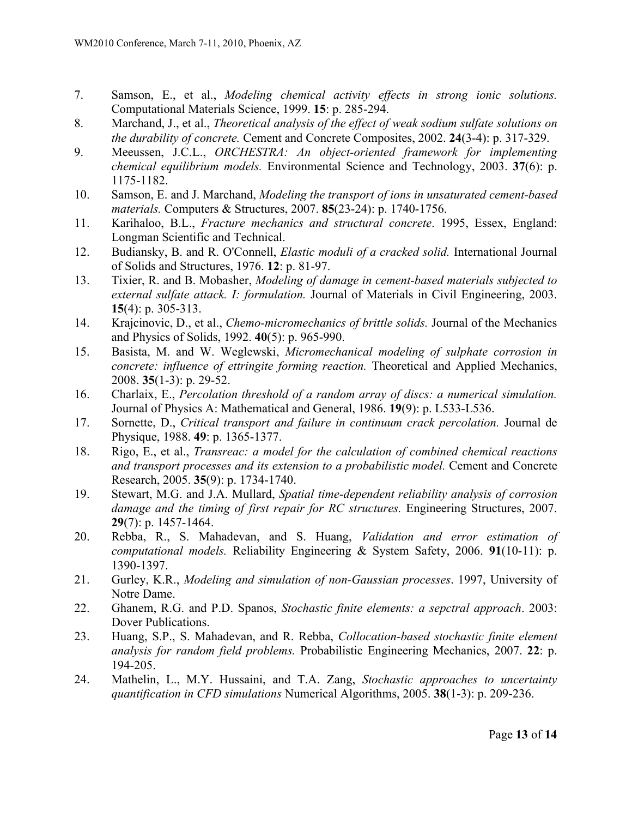- 7. Samson, E., et al., *Modeling chemical activity effects in strong ionic solutions.* Computational Materials Science, 1999. **15**: p. 285-294.
- 8. Marchand, J., et al., *Theoretical analysis of the effect of weak sodium sulfate solutions on the durability of concrete.* Cement and Concrete Composites, 2002. **24**(3-4): p. 317-329.
- 9. Meeussen, J.C.L., *ORCHESTRA: An object-oriented framework for implementing chemical equilibrium models.* Environmental Science and Technology, 2003. **37**(6): p. 1175-1182.
- 10. Samson, E. and J. Marchand, *Modeling the transport of ions in unsaturated cement-based materials.* Computers & Structures, 2007. **85**(23-24): p. 1740-1756.
- 11. Karihaloo, B.L., *Fracture mechanics and structural concrete*. 1995, Essex, England: Longman Scientific and Technical.
- 12. Budiansky, B. and R. O'Connell, *Elastic moduli of a cracked solid.* International Journal of Solids and Structures, 1976. **12**: p. 81-97.
- 13. Tixier, R. and B. Mobasher, *Modeling of damage in cement-based materials subjected to external sulfate attack. I: formulation.* Journal of Materials in Civil Engineering, 2003. **15**(4): p. 305-313.
- 14. Krajcinovic, D., et al., *Chemo-micromechanics of brittle solids.* Journal of the Mechanics and Physics of Solids, 1992. **40**(5): p. 965-990.
- 15. Basista, M. and W. Weglewski, *Micromechanical modeling of sulphate corrosion in concrete: influence of ettringite forming reaction.* Theoretical and Applied Mechanics, 2008. **35**(1-3): p. 29-52.
- 16. Charlaix, E., *Percolation threshold of a random array of discs: a numerical simulation.* Journal of Physics A: Mathematical and General, 1986. **19**(9): p. L533-L536.
- 17. Sornette, D., *Critical transport and failure in continuum crack percolation.* Journal de Physique, 1988. **49**: p. 1365-1377.
- 18. Rigo, E., et al., *Transreac: a model for the calculation of combined chemical reactions and transport processes and its extension to a probabilistic model.* Cement and Concrete Research, 2005. **35**(9): p. 1734-1740.
- 19. Stewart, M.G. and J.A. Mullard, *Spatial time-dependent reliability analysis of corrosion damage and the timing of first repair for RC structures.* Engineering Structures, 2007. **29**(7): p. 1457-1464.
- 20. Rebba, R., S. Mahadevan, and S. Huang, *Validation and error estimation of computational models.* Reliability Engineering & System Safety, 2006. **91**(10-11): p. 1390-1397.
- 21. Gurley, K.R., *Modeling and simulation of non-Gaussian processes*. 1997, University of Notre Dame.
- 22. Ghanem, R.G. and P.D. Spanos, *Stochastic finite elements: a sepctral approach*. 2003: Dover Publications.
- 23. Huang, S.P., S. Mahadevan, and R. Rebba, *Collocation-based stochastic finite element analysis for random field problems.* Probabilistic Engineering Mechanics, 2007. **22**: p. 194-205.
- 24. Mathelin, L., M.Y. Hussaini, and T.A. Zang, *Stochastic approaches to uncertainty quantification in CFD simulations* Numerical Algorithms, 2005. **38**(1-3): p. 209-236.